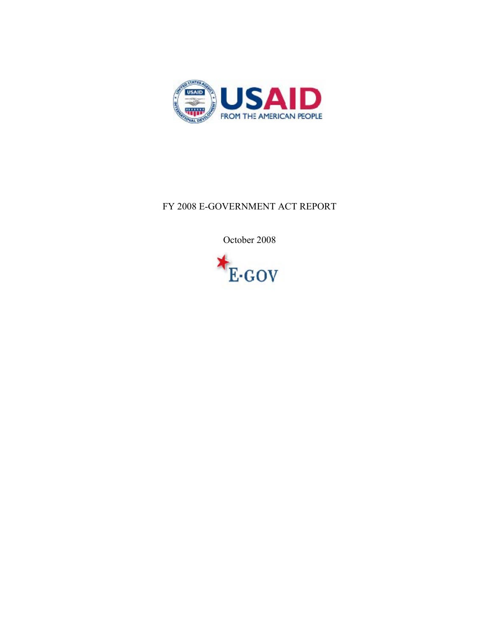

## FY 2008 E-GOVERNMENT ACT REPORT

October 2008

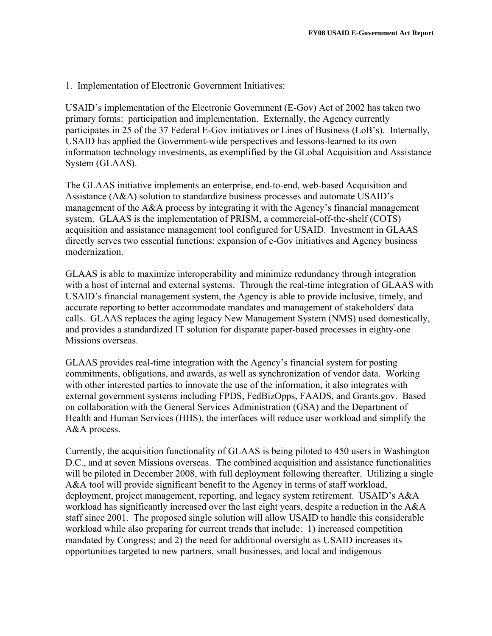1. Implementation of Electronic Government Initiatives:

USAID's implementation of the Electronic Government (E-Gov) Act of 2002 has taken two primary forms: participation and implementation. Externally, the Agency currently participates in 25 of the 37 Federal E-Gov initiatives or Lines of Business (LoB's). Internally, USAID has applied the Government-wide perspectives and lessons-learned to its own information technology investments, as exemplified by the GLobal Acquisition and Assistance System (GLAAS).

The GLAAS initiative implements an enterprise, end-to-end, web-based Acquisition and Assistance (A&A) solution to standardize business processes and automate USAID's management of the A&A process by integrating it with the Agency's financial management system. GLAAS is the implementation of PRISM, a commercial-off-the-shelf (COTS) acquisition and assistance management tool configured for USAID. Investment in GLAAS directly serves two essential functions: expansion of e-Gov initiatives and Agency business modernization.

GLAAS is able to maximize interoperability and minimize redundancy through integration with a host of internal and external systems. Through the real-time integration of GLAAS with USAID's financial management system, the Agency is able to provide inclusive, timely, and accurate reporting to better accommodate mandates and management of stakeholders' data calls. GLAAS replaces the aging legacy New Management System (NMS) used domestically, and provides a standardized IT solution for disparate paper-based processes in eighty-one Missions overseas.

GLAAS provides real-time integration with the Agency's financial system for posting commitments, obligations, and awards, as well as synchronization of vendor data. Working with other interested parties to innovate the use of the information, it also integrates with external government systems including FPDS, FedBizOpps, FAADS, and Grants.gov. Based on collaboration with the General Services Administration (GSA) and the Department of Health and Human Services (HHS), the interfaces will reduce user workload and simplify the A&A process.

Currently, the acquisition functionality of GLAAS is being piloted to 450 users in Washington D.C., and at seven Missions overseas. The combined acquisition and assistance functionalities will be piloted in December 2008, with full deployment following thereafter. Utilizing a single A&A tool will provide significant benefit to the Agency in terms of staff workload, deployment, project management, reporting, and legacy system retirement. USAID's A&A workload has significantly increased over the last eight years, despite a reduction in the A&A staff since 2001. The proposed single solution will allow USAID to handle this considerable workload while also preparing for current trends that include: 1) increased competition mandated by Congress; and 2) the need for additional oversight as USAID increases its opportunities targeted to new partners, small businesses, and local and indigenous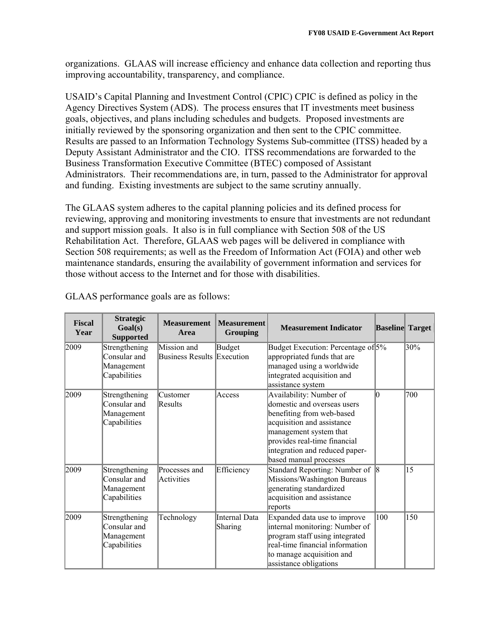organizations. GLAAS will increase efficiency and enhance data collection and reporting thus improving accountability, transparency, and compliance.

USAID's Capital Planning and Investment Control (CPIC) CPIC is defined as policy in the Agency Directives System (ADS). The process ensures that IT investments meet business goals, objectives, and plans including schedules and budgets. Proposed investments are initially reviewed by the sponsoring organization and then sent to the CPIC committee. Results are passed to an Information Technology Systems Sub-committee (ITSS) headed by a Deputy Assistant Administrator and the CIO. ITSS recommendations are forwarded to the Business Transformation Executive Committee (BTEC) composed of Assistant Administrators. Their recommendations are, in turn, passed to the Administrator for approval and funding. Existing investments are subject to the same scrutiny annually.

The GLAAS system adheres to the capital planning policies and its defined process for reviewing, approving and monitoring investments to ensure that investments are not redundant and support mission goals. It also is in full compliance with Section 508 of the US Rehabilitation Act. Therefore, GLAAS web pages will be delivered in compliance with Section 508 requirements; as well as the Freedom of Information Act (FOIA) and other web maintenance standards, ensuring the availability of government information and services for those without access to the Internet and for those with disabilities.

| <b>Fiscal</b><br>Year | <b>Strategic</b><br>Goal(s)<br><b>Supported</b>             | <b>Measurement</b><br>Area                       | <b>Measurement</b><br><b>Grouping</b> | <b>Measurement Indicator</b>                                                                                                                                                                                                            | <b>Baseline</b> Target |     |
|-----------------------|-------------------------------------------------------------|--------------------------------------------------|---------------------------------------|-----------------------------------------------------------------------------------------------------------------------------------------------------------------------------------------------------------------------------------------|------------------------|-----|
| 2009                  | Strengthening<br>Consular and<br>Management<br>Capabilities | Mission and<br><b>Business Results Execution</b> | Budget                                | Budget Execution: Percentage of 5%<br>appropriated funds that are<br>managed using a worldwide<br>integrated acquisition and<br>assistance system                                                                                       |                        | 30% |
| 2009                  | Strengthening<br>Consular and<br>Management<br>Capabilities | Customer<br>Results                              | Access                                | Availability: Number of<br>domestic and overseas users<br>benefiting from web-based<br>acquisition and assistance<br>management system that<br>provides real-time financial<br>integration and reduced paper-<br>based manual processes | $\Omega$               | 700 |
| 2009                  | Strengthening<br>Consular and<br>Management<br>Capabilities | Processes and<br>Activities                      | Efficiency                            | Standard Reporting: Number of 8<br>Missions/Washington Bureaus<br>generating standardized<br>acquisition and assistance<br>reports                                                                                                      |                        | 15  |
| 2009                  | Strengthening<br>Consular and<br>Management<br>Capabilities | Technology                                       | Internal Data<br>Sharing              | Expanded data use to improve<br>internal monitoring: Number of<br>program staff using integrated<br>real-time financial information<br>to manage acquisition and<br>assistance obligations                                              | 100                    | 150 |

GLAAS performance goals are as follows: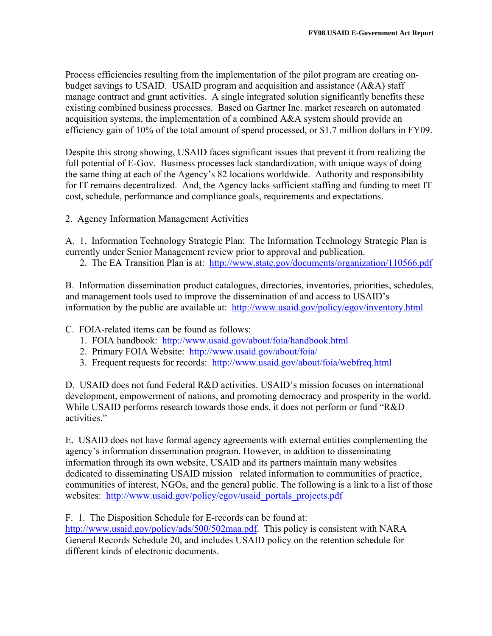Process efficiencies resulting from the implementation of the pilot program are creating onbudget savings to USAID. USAID program and acquisition and assistance (A&A) staff manage contract and grant activities. A single integrated solution significantly benefits these existing combined business processes. Based on Gartner Inc. market research on automated acquisition systems, the implementation of a combined A&A system should provide an efficiency gain of 10% of the total amount of spend processed, or \$1.7 million dollars in FY09.

Despite this strong showing, USAID faces significant issues that prevent it from realizing the full potential of E-Gov. Business processes lack standardization, with unique ways of doing the same thing at each of the Agency's 82 locations worldwide. Authority and responsibility for IT remains decentralized. And, the Agency lacks sufficient staffing and funding to meet IT cost, schedule, performance and compliance goals, requirements and expectations.

2. Agency Information Management Activities

A. 1. Information Technology Strategic Plan: The Information Technology Strategic Plan is currently under Senior Management review prior to approval and publication.

2. The EA Transition Plan is at: http://www.state.gov/documents/organization/110566.pdf

B. Information dissemination product catalogues, directories, inventories, priorities, schedules, and management tools used to improve the dissemination of and access to USAID's information by the public are available at: http://www.usaid.gov/policy/egov/inventory.html

C. FOIA-related items can be found as follows:

- 1. FOIA handbook: http://www.usaid.gov/about/foia/handbook.html
- 2. Primary FOIA Website: http://www.usaid.gov/about/foia/
- 3. Frequent requests for records: http://www.usaid.gov/about/foia/webfreq.html

D. USAID does not fund Federal R&D activities. USAID's mission focuses on international development, empowerment of nations, and promoting democracy and prosperity in the world. While USAID performs research towards those ends, it does not perform or fund "R&D activities."

E. USAID does not have formal agency agreements with external entities complementing the agency's information dissemination program. However, in addition to disseminating information through its own website, USAID and its partners maintain many websites dedicated to disseminating USAID mission related information to communities of practice, communities of interest, NGOs, and the general public. The following is a link to a list of those websites: http://www.usaid.gov/policy/egov/usaid\_portals\_projects.pdf

F. 1. The Disposition Schedule for E-records can be found at:

http://www.usaid.gov/policy/ads/500/502maa.pdf. This policy is consistent with NARA General Records Schedule 20, and includes USAID policy on the retention schedule for different kinds of electronic documents.